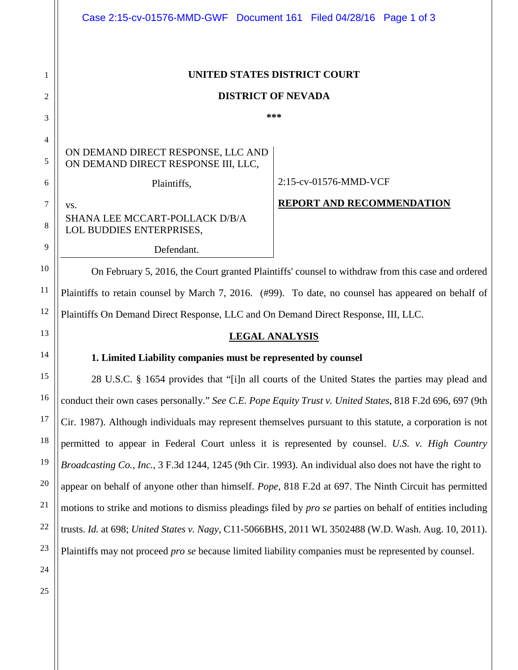|                | Case 2:15-cv-01576-MMD-GWF Document 161 Filed 04/28/16 Page 1 of 3                                       |                                  |
|----------------|----------------------------------------------------------------------------------------------------------|----------------------------------|
| 1              | UNITED STATES DISTRICT COURT                                                                             |                                  |
| $\overline{2}$ | <b>DISTRICT OF NEVADA</b>                                                                                |                                  |
| 3              | ***                                                                                                      |                                  |
| 4              |                                                                                                          |                                  |
| 5              | ON DEMAND DIRECT RESPONSE, LLC AND<br>ON DEMAND DIRECT RESPONSE III, LLC,                                |                                  |
| 6              | Plaintiffs,                                                                                              | 2:15-cv-01576-MMD-VCF            |
| $\tau$         | VS.                                                                                                      | <b>REPORT AND RECOMMENDATION</b> |
| 8              | SHANA LEE MCCART-POLLACK D/B/A<br>LOL BUDDIES ENTERPRISES,                                               |                                  |
| 9              | Defendant.                                                                                               |                                  |
| 10             | On February 5, 2016, the Court granted Plaintiffs' counsel to withdraw from this case and ordered        |                                  |
| 11             | Plaintiffs to retain counsel by March 7, 2016. (#99). To date, no counsel has appeared on behalf of      |                                  |
| 12             | Plaintiffs On Demand Direct Response, LLC and On Demand Direct Response, III, LLC.                       |                                  |
| 13             | <b>LEGAL ANALYSIS</b>                                                                                    |                                  |
| 14             | 1. Limited Liability companies must be represented by counsel                                            |                                  |
| 15             | 28 U.S.C. § 1654 provides that "[i]n all courts of the United States the parties may plead and           |                                  |
| 16             | conduct their own cases personally." See C.E. Pope Equity Trust v. United States, 818 F.2d 696, 697 (9th |                                  |
| 17             | Cir. 1987). Although individuals may represent themselves pursuant to this statute, a corporation is not |                                  |
| 18             | permitted to appear in Federal Court unless it is represented by counsel. U.S. v. High Country           |                                  |
| 19             | Broadcasting Co., Inc., 3 F.3d 1244, 1245 (9th Cir. 1993). An individual also does not have the right to |                                  |

appear on behalf of anyone other than himself. *Pope*, 818 F.2d at 697. The Ninth Circuit has permitted motions to strike and motions to dismiss pleadings filed by *pro se* parties on behalf of entities including trusts. *Id.* at 698; *United States v. Nagy*, C11-5066BHS, 2011 WL 3502488 (W.D. Wash. Aug. 10, 2011). Plaintiffs may not proceed *pro se* because limited liability companies must be represented by counsel.

25

20

21

22

23

24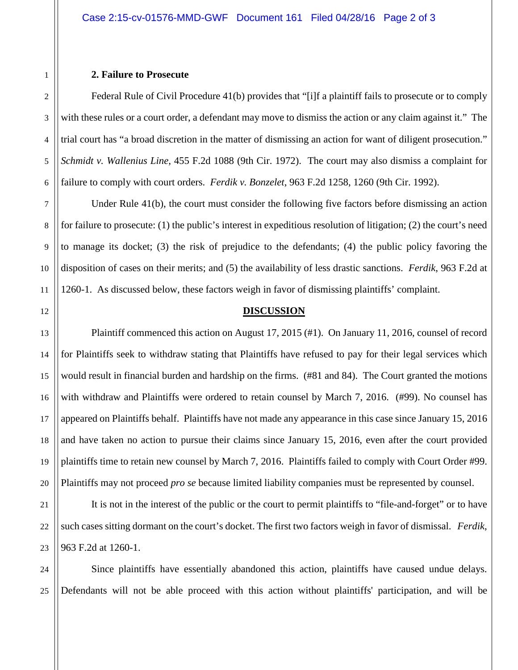## **2. Failure to Prosecute**

Federal Rule of Civil Procedure 41(b) provides that "[i]f a plaintiff fails to prosecute or to comply with these rules or a court order, a defendant may move to dismiss the action or any claim against it." The trial court has "a broad discretion in the matter of dismissing an action for want of diligent prosecution." *Schmidt v. Wallenius Line*, 455 F.2d 1088 (9th Cir. 1972). The court may also dismiss a complaint for failure to comply with court orders. *Ferdik v. Bonzelet*, 963 F.2d 1258, 1260 (9th Cir. 1992).

Under Rule 41(b), the court must consider the following five factors before dismissing an action for failure to prosecute: (1) the public's interest in expeditious resolution of litigation; (2) the court's need to manage its docket; (3) the risk of prejudice to the defendants; (4) the public policy favoring the disposition of cases on their merits; and (5) the availability of less drastic sanctions. *Ferdik*, 963 F.2d at 1260-1. As discussed below, these factors weigh in favor of dismissing plaintiffs' complaint.

## **DISCUSSION**

Plaintiff commenced this action on August 17, 2015 (#1). On January 11, 2016, counsel of record for Plaintiffs seek to withdraw stating that Plaintiffs have refused to pay for their legal services which would result in financial burden and hardship on the firms. (#81 and 84). The Court granted the motions with withdraw and Plaintiffs were ordered to retain counsel by March 7, 2016. (#99). No counsel has appeared on Plaintiffs behalf. Plaintiffs have not made any appearance in this case since January 15, 2016 and have taken no action to pursue their claims since January 15, 2016, even after the court provided plaintiffs time to retain new counsel by March 7, 2016. Plaintiffs failed to comply with Court Order #99. Plaintiffs may not proceed *pro se* because limited liability companies must be represented by counsel.

It is not in the interest of the public or the court to permit plaintiffs to "file-and-forget" or to have such cases sitting dormant on the court's docket. The first two factors weigh in favor of dismissal. *Ferdik*, 963 F.2d at 1260-1.

Since plaintiffs have essentially abandoned this action, plaintiffs have caused undue delays. Defendants will not be able proceed with this action without plaintiffs' participation, and will be

1

2